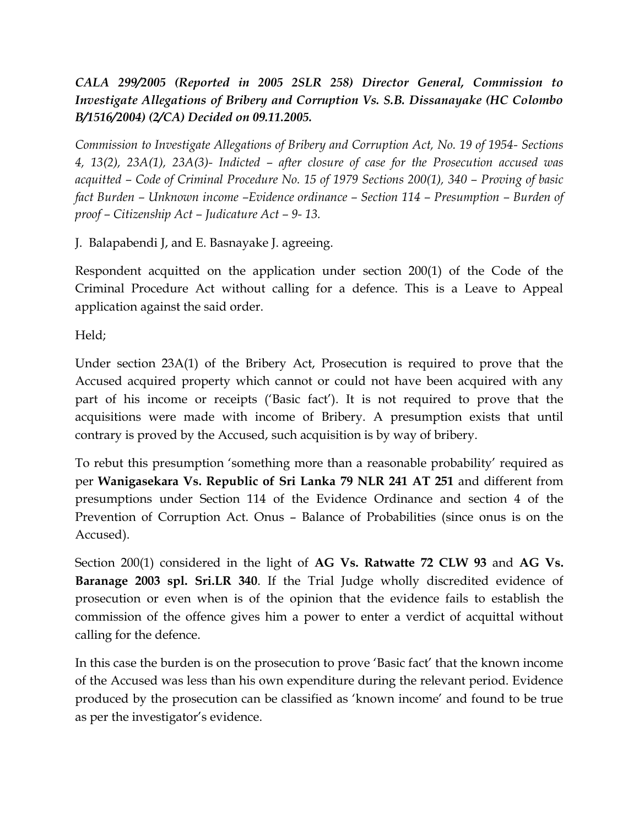*CALA 299/2005 (Reported in 2005 2SLR 258) Director General, Commission to Investigate Allegations of Bribery and Corruption Vs. S.B. Dissanayake (HC Colombo B/1516/2004) (2/CA) Decided on 09.11.2005.*

*Commission to Investigate Allegations of Bribery and Corruption Act, No. 19 of 1954- Sections 4, 13(2), 23A(1), 23A(3)- Indicted – after closure of case for the Prosecution accused was acquitted – Code of Criminal Procedure No. 15 of 1979 Sections 200(1), 340 – Proving of basic fact Burden – Unknown income –Evidence ordinance – Section 114 – Presumption – Burden of proof – Citizenship Act – Judicature Act – 9- 13.*

J. Balapabendi J, and E. Basnayake J. agreeing.

Respondent acquitted on the application under section 200(1) of the Code of the Criminal Procedure Act without calling for a defence. This is a Leave to Appeal application against the said order.

Held;

Under section 23A(1) of the Bribery Act, Prosecution is required to prove that the Accused acquired property which cannot or could not have been acquired with any part of his income or receipts ('Basic fact'). It is not required to prove that the acquisitions were made with income of Bribery. A presumption exists that until contrary is proved by the Accused, such acquisition is by way of bribery.

To rebut this presumption 'something more than a reasonable probability' required as per **Wanigasekara Vs. Republic of Sri Lanka 79 NLR 241 AT 251** and different from presumptions under Section 114 of the Evidence Ordinance and section 4 of the Prevention of Corruption Act. Onus – Balance of Probabilities (since onus is on the Accused).

Section 200(1) considered in the light of **AG Vs. Ratwatte 72 CLW 93** and **AG Vs. Baranage 2003 spl. Sri.LR 340**. If the Trial Judge wholly discredited evidence of prosecution or even when is of the opinion that the evidence fails to establish the commission of the offence gives him a power to enter a verdict of acquittal without calling for the defence.

In this case the burden is on the prosecution to prove 'Basic fact' that the known income of the Accused was less than his own expenditure during the relevant period. Evidence produced by the prosecution can be classified as 'known income' and found to be true as per the investigator's evidence.